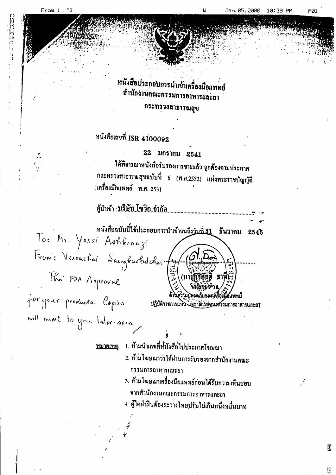From:

## หนังสือประกอบการนำเข้าเครื่องมือแพทย์ สำนักงานคณะกรรมการอาหารและยา กระทรวงสาธารณสุข

# หนังสือเลขที่ ISR 4100092

22 มกราคม 2541

ได้พิจารณาหนังสือรับรองการขายแถ้ว ถูกต้องตามประกาศ กระทรวงสาธารณสุขฉบับที่ 6 (พ.ศ.2532) แห่งพระราชบัญญัติ : เทรื่องมือแพทย์ พ.ศ. 2531

หนังสือฉบับนี้ใช้ประกอบการนำเข้าจนถึ<u>งวันที่ 31</u> ชันวาคม 2545 To: Mr. Yossi Ashkenazi From: Verrachai Sacratustulchai fournit Thai FDA Approval for your products. Copies แพพย์ ปฏิบัติราชการแหน่งได้ขาธิการคุณะศรรมการอาหารและยา

will mail to you later soon.

1. ห้ามนำเลขที่ห์นังสือไปประกาศโฆษณา หมายเหตุ

- 2. ห้ามโฆษณาว่าได้ผ่านการรับรองจากสำนักงานคณะ กรรมการอาหารและยา
- 3. ห้ามโฆษณาเครื่องมือแพทย์ก่อนได้รับความเห็นชอบ จากสำนักงานคณะกรรมการอาหารและยา
- 4. ผู้ไดฝ่าฝืนด้องระวางโทบปรับไม่เกินหนึ่งหมื่นบาท

₩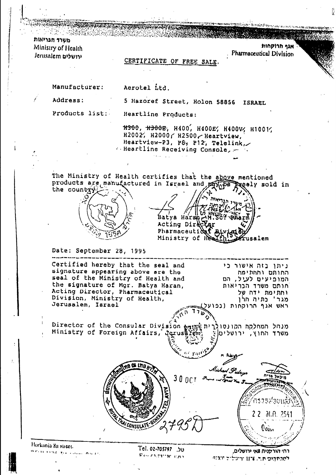A CAR CARACTER CAR A CARACTER DI CONTE משרד חבריאות Ministry of Health ורושלים Jerusalem

אגף תרוסחות Pharmaceutical Division

#### CERTIFICATE OF FREE SALE.

Manufacturer:

Aerotel Ltd.

Heartline Products:

Address:

Products list:

#300, #300E, H400, H400E, H400V, H1001, H2002, H2000 / H2500 / Heartview, Heartview-P3, P8, P12, Telelink, Endeation Receiving Console, 2014

5 Hazoref Street, Holon 58856 ISRAEL

The Ministry of Health certifies that the above mentioned products are manufactured in Israel and manufacture preely sold in the country



Batya Haran AM. 569 arm Acting Dire Pharmaceutidaf Ministry of He fusalem

#### Date: September 28, 1995

Certified hereby that the seal and ניתן בזה אישור כי signature appearing above are the החותם והחתימה seal of the Ministry of Health and המופיעים לעול, הם the signature of Mgr. Batya Haran, חותם משרד הכריאות Acting Director, Pharmaceutical וחתימת ידח של Division, Ministry of Health, מגר' כתיה הלן Jerusalem, Israel ראש אנף הרוקחות (נפועל)

מנחל המחלקה הקונסולרית pirector of the Consular Division printing Ministry of Foreign Affairs, Jerus Frem משרד החוץ, ירושליט|וֶ



Horkania 8a street. is restriction of the annual contract

UC. 02-705797 .JU Pais encarracional

רחי הורקנית שאי ירושלים, למכתהום תר. 1174 ורשלים מגדון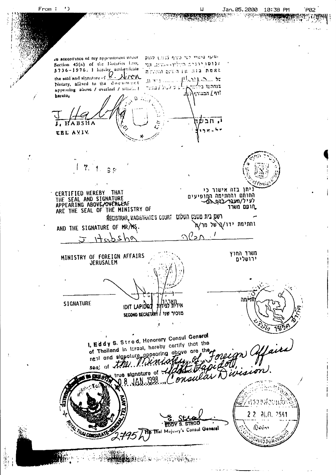$\cdot$  ) From: Jan. 05.2000 10:38 PM PØ2 ा अनुसार का सुरू<br>जनसङ्ख्या יווקף מינויי לפי כפיף מכנון להוק au accordance of my appenniment uncer-Section 45(a) of the Hondries Law, ולוסו יונים תעליו- - ספו. אני 5736-1976. I hereby antiquidate<br>the scal and signature of  $\Box$ minister proton assessor and was  $\mathbb{R}^{(n)}$ ה האינו המש Notary, allived to the document שנחת מו ביי<sup>ל</sup>ינדי. بالواوان ولروية appearing above / overleaf / attached the e conf לדף ∠ המצורון לולה. hereto. ו חבנ HABSHA 4 H **TRL AVIV.**  $\mathbf{r}$ 7.  $S \subseteq$ ניתן בזה אישור כי CERTIFIED HEREBY THAT<br>THE SEAL AND SIGNATURE<br>APPEARING ABOVE/OVERLEAF החותם והחתימה המופיעים לעיל/ מעבר לדף ה חופם משרד ARE THE SEAL OF THE MINISTRY OF REGISTRAR, MAGISTRATE'S COURT ושם בית משפט השלום וחתימת ידו/פרשל מר√ת AND THE SIGNATURE OF MR/MS.  $\curvearrowleft$   $\curvearrowright$ へん  $\overline{H}$ משרד החוץ<br>ירושלים MINISTRY OF FOREIGN AFFAIRS JERUSALEM מה)<br>מ SIGNATURE **IDIT LAPIDET** למ SECOND BECRETARY / שוכיר שני / I, Eddy S. Strod, Henorary Consul General m Offaire<br>ision. of Thailand in Israel, hereby cartify that the sept and signature appearing above are seal of the Virion true signature of onsular 8 JAN ารวัง อิฬอปะแล้ว  $22<sup>2</sup>$ .al.n. 2541 **EDDY S. STROD** RE That Mojeny's Consul General  $0$ อบักา Yüdaya 371,49699801 まかなし にっちゃ